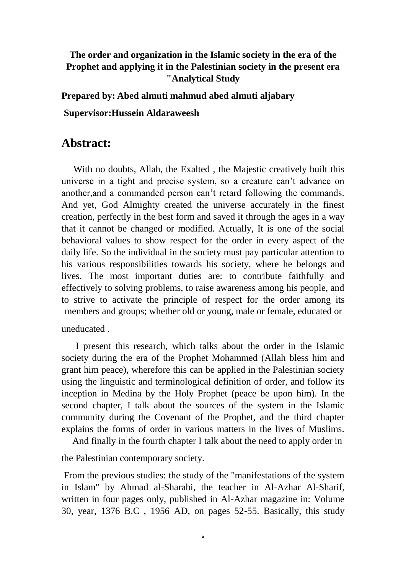## **The order and organization in the Islamic society in the era of the Prophet and applying it in the Palestinian society in the present era "Analytical Study**

**Prepared by: Abed almuti mahmud abed almuti aljabary**

**Supervisor:Hussein Aldaraweesh**

## **Abstract:**

 With no doubts, Allah, the Exalted , the Majestic creatively built this universe in a tight and precise system, so a creature can't advance on another,and a commanded person can't retard following the commands. And yet, God Almighty created the universe accurately in the finest creation, perfectly in the best form and saved it through the ages in a way that it cannot be changed or modified. Actually, It is one of the social behavioral values to show respect for the order in every aspect of the daily life. So the individual in the society must pay particular attention to his various responsibilities towards his society, where he belongs and lives. The most important duties are: to contribute faithfully and effectively to solving problems, to raise awareness among his people, and to strive to activate the principle of respect for the order among its members and groups; whether old or young, male or female, educated or

uneducated .

 I present this research, which talks about the order in the Islamic society during the era of the Prophet Mohammed (Allah bless him and grant him peace), wherefore this can be applied in the Palestinian society using the linguistic and terminological definition of order, and follow its inception in Medina by the Holy Prophet (peace be upon him). In the second chapter, I talk about the sources of the system in the Islamic community during the Covenant of the Prophet, and the third chapter explains the forms of order in various matters in the lives of Muslims.

And finally in the fourth chapter I talk about the need to apply order in

the Palestinian contemporary society.

From the previous studies: the study of the "manifestations of the system in Islam" by Ahmad al-Sharabi, the teacher in Al-Azhar Al-Sharif, written in four pages only, published in Al-Azhar magazine in: Volume 30, year, 1376 B.C , 1956 AD, on pages 52-55. Basically, this study

ه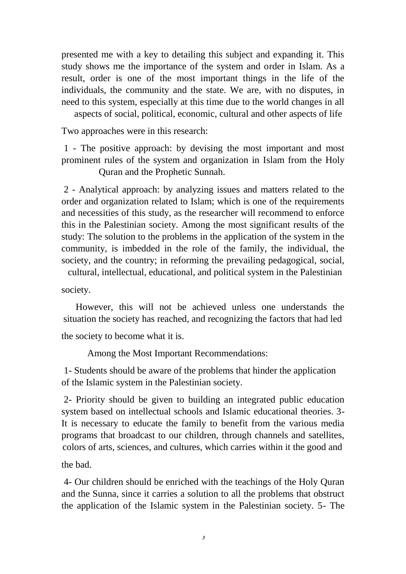presented me with a key to detailing this subject and expanding it. This study shows me the importance of the system and order in Islam. As a result, order is one of the most important things in the life of the individuals, the community and the state. We are, with no disputes, in need to this system, especially at this time due to the world changes in all

aspects of social, political, economic, cultural and other aspects of life

Two approaches were in this research:

1 - The positive approach: by devising the most important and most prominent rules of the system and organization in Islam from the Holy Quran and the Prophetic Sunnah.

2 - Analytical approach: by analyzing issues and matters related to the order and organization related to Islam; which is one of the requirements and necessities of this study, as the researcher will recommend to enforce this in the Palestinian society. Among the most significant results of the study: The solution to the problems in the application of the system in the community, is imbedded in the role of the family, the individual, the society, and the country; in reforming the prevailing pedagogical, social,

cultural, intellectual, educational, and political system in the Palestinian

society.

 However, this will not be achieved unless one understands the situation the society has reached, and recognizing the factors that had led

the society to become what it is.

Among the Most Important Recommendations:

1- Students should be aware of the problems that hinder the application of the Islamic system in the Palestinian society.

2- Priority should be given to building an integrated public education system based on intellectual schools and Islamic educational theories. 3- It is necessary to educate the family to benefit from the various media programs that broadcast to our children, through channels and satellites, colors of arts, sciences, and cultures, which carries within it the good and

the bad.

4- Our children should be enriched with the teachings of the Holy Quran and the Sunna, since it carries a solution to all the problems that obstruct the application of the Islamic system in the Palestinian society. 5- The